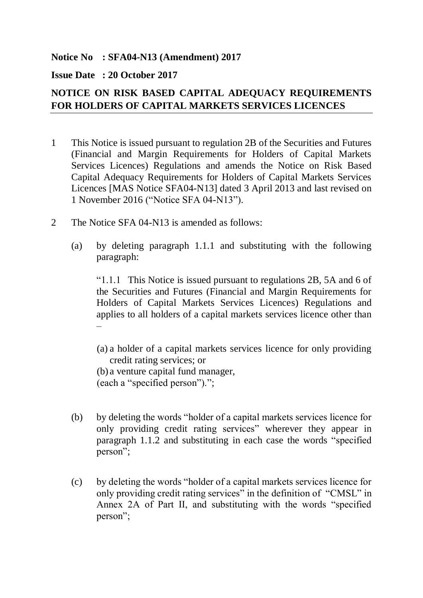## **Notice No : SFA04-N13 (Amendment) 2017**

## **Issue Date : 20 October 2017**

## **NOTICE ON RISK BASED CAPITAL ADEQUACY REQUIREMENTS FOR HOLDERS OF CAPITAL MARKETS SERVICES LICENCES**

- 1 This Notice is issued pursuant to regulation 2B of the Securities and Futures (Financial and Margin Requirements for Holders of Capital Markets Services Licences) Regulations and amends the Notice on Risk Based Capital Adequacy Requirements for Holders of Capital Markets Services Licences [MAS Notice SFA04-N13] dated 3 April 2013 and last revised on 1 November 2016 ("Notice SFA 04-N13").
- 2 The Notice SFA 04-N13 is amended as follows:
	- (a) by deleting paragraph 1.1.1 and substituting with the following paragraph:

"1.1.1 This Notice is issued pursuant to regulations 2B, 5A and 6 of the Securities and Futures (Financial and Margin Requirements for Holders of Capital Markets Services Licences) Regulations and applies to all holders of a capital markets services licence other than –

(a) a holder of a capital markets services licence for only providing credit rating services; or (b) a venture capital fund manager, (each a "specified person").";

- (b) by deleting the words "holder of a capital markets services licence for only providing credit rating services" wherever they appear in paragraph 1.1.2 and substituting in each case the words "specified person";
- (c) by deleting the words "holder of a capital markets services licence for only providing credit rating services" in the definition of "CMSL" in Annex 2A of Part II, and substituting with the words "specified person";